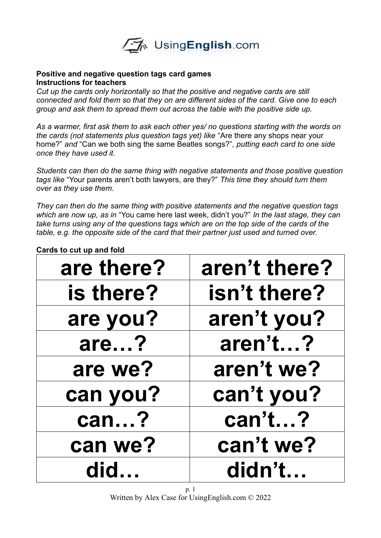

## **Positive and negative question tags card games Instructions for teachers**

*Cut up the cards only horizontally so that the positive and negative cards are still connected and fold them so that they on are different sides of the card. Give one to each group and ask them to spread them out across the table with the positive side up.* 

*As a warmer, first ask them to ask each other yes/ no questions starting with the words on the cards (not statements plus question tags yet) like* "Are there any shops near your home?" *and* "Can we both sing the same Beatles songs?"*, putting each card to one side once they have used it.*

*Students can then do the same thing with negative statements and those positive question tags like* "Your parents aren't both lawyers, are they?" *This time they should turn them over as they use them.*

*They can then do the same thing with positive statements and the negative question tags which are now up, as in* "You came here last week, didn't you?" *In the last stage, they can take turns using any of the questions tags which are on the top side of the cards of the table, e.g. the opposite side of the card that their partner just used and turned over.* 

| are there? | aren't there? |
|------------|---------------|
| is there?  | isn't there?  |
| are you?   | aren't you?   |
| are?       | aren't?       |
| are we?    | aren't we?    |
| can you?   | can't you?    |
| can?       | can't?        |
| can we?    | can't we?     |
| did        | didn't        |

**Cards to cut up and fold**

p. 1 Written by Alex Case for UsingEnglish.com © 2022